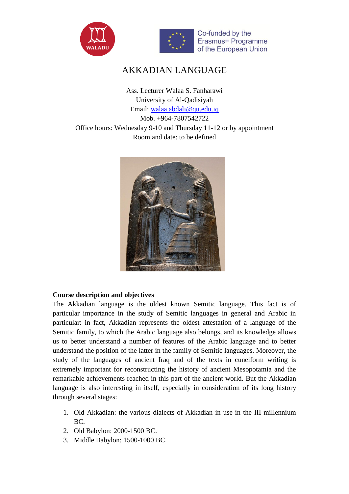



# AKKADIAN LANGUAGE

Ass. Lecturer Walaa S. Fanharawi University of Al-Qadisiyah Email: [walaa.abdali@qu.edu.iq](mailto:walaa.abdali@qu.edu.iq) Mob. +964-7807542722 Office hours: Wednesday 9-10 and Thursday 11-12 or by appointment Room and date: to be defined



## **Course description and objectives**

The Akkadian language is the oldest known Semitic language. This fact is of particular importance in the study of Semitic languages in general and Arabic in particular: in fact, Akkadian represents the oldest attestation of a language of the Semitic family, to which the Arabic language also belongs, and its knowledge allows us to better understand a number of features of the Arabic language and to better understand the position of the latter in the family of Semitic languages. Moreover, the study of the languages of ancient Iraq and of the texts in cuneiform writing is extremely important for reconstructing the history of ancient Mesopotamia and the remarkable achievements reached in this part of the ancient world. But the Akkadian language is also interesting in itself, especially in consideration of its long history through several stages:

- 1. Old Akkadian: the various dialects of Akkadian in use in the III millennium BC.
- 2. Old Babylon: 2000-1500 BC.
- 3. Middle Babylon: 1500-1000 BC.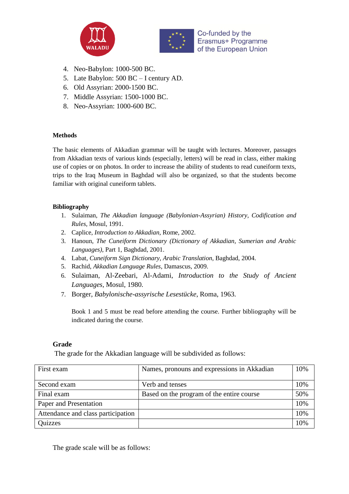



- 4. Neo-Babylon: 1000-500 BC.
- 5. Late Babylon: 500 BC I century AD.
- 6. Old Assyrian: 2000-1500 BC.
- 7. Middle Assyrian: 1500-1000 BC.
- 8. Neo-Assyrian: 1000-600 BC.

### **Methods**

The basic elements of Akkadian grammar will be taught with lectures. Moreover, passages from Akkadian texts of various kinds (especially, letters) will be read in class, either making use of copies or on photos. In order to increase the ability of students to read cuneiform texts, trips to the Iraq Museum in Baghdad will also be organized, so that the students become familiar with original cuneiform tablets.

## **Bibliography**

- 1. Sulaiman, *The Akkadian language (Babylonian-Assyrian) History, Codification and Rules,* Mosul, 1991.
- 2. Caplice, *Introduction to Akkadian*, Rome, 2002.
- 3. Hanoun, *The Cuneiform Dictionary (Dictionary of Akkadian, Sumerian and Arabic Languages)*, Part 1, Baghdad, 2001.
- 4. Labat, *Cuneiform Sign Dictionary, Arabic Translation*, Baghdad, 2004.
- 5. Rachid, *Akkadian Language Rules*, Damascus, 2009.
- 6. Sulaiman, Al-Zeebari, Al-Adami, *Introduction to the Study of Ancient Languages*, Mosul, 1980.
- 7. Borger, *Babylonische-assyrische Lesestücke*, Roma, 1963.

Book 1 and 5 must be read before attending the course. Further bibliography will be indicated during the course.

### **Grade**

The grade for the Akkadian language will be subdivided as follows:

| First exam                         | Names, pronouns and expressions in Akkadian | 10% |
|------------------------------------|---------------------------------------------|-----|
| Second exam                        | Verb and tenses                             | 10% |
| Final exam                         | Based on the program of the entire course   | 50% |
| Paper and Presentation             |                                             | 10% |
| Attendance and class participation |                                             | 10% |
| Quizzes                            |                                             | 10% |

The grade scale will be as follows: